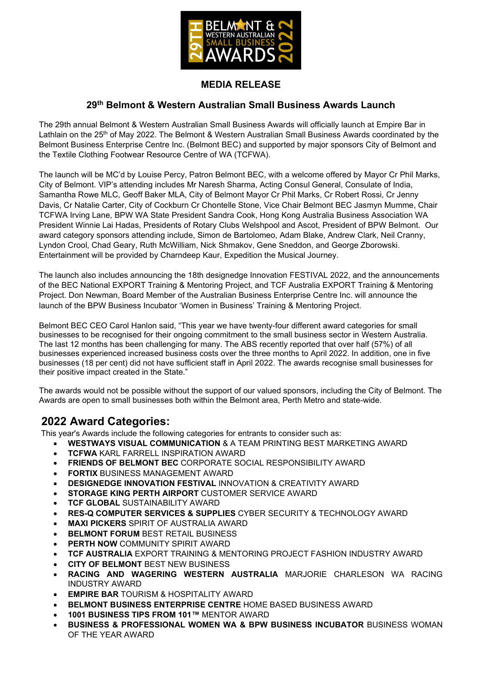

### MEDIA RELEASE

## 29th Belmont & Western Australian Small Business Awards Launch

The 29th annual Belmont & Western Australian Small Business Awards will officially launch at Empire Bar in Lathlain on the 25<sup>th</sup> of May 2022. The Belmont & Western Australian Small Business Awards coordinated by the Belmont Business Enterprise Centre Inc. (Belmont BEC) and supported by major sponsors City of Belmont and the Textile Clothing Footwear Resource Centre of WA (TCFWA).

The launch will be MC'd by Louise Percy, Patron Belmont BEC, with a welcome offered by Mayor Cr Phil Marks, City of Belmont. VIP's attending includes Mr Naresh Sharma, Acting Consul General, Consulate of India, Samantha Rowe MLC, Geoff Baker MLA, City of Belmont Mayor Cr Phil Marks, Cr Robert Rossi, Cr Jenny Davis, Cr Natalie Carter, City of Cockburn Cr Chontelle Stone, Vice Chair Belmont BEC Jasmyn Mumme, Chair TCFWA Irving Lane, BPW WA State President Sandra Cook, Hong Kong Australia Business Association WA President Winnie Lai Hadas, Presidents of Rotary Clubs Welshpool and Ascot, President of BPW Belmont. Our award category sponsors attending include, Simon de Bartolomeo, Adam Blake, Andrew Clark, Neil Cranny, Lyndon Crool, Chad Geary, Ruth McWilliam, Nick Shmakov, Gene Sneddon, and George Zborowski. Entertainment will be provided by Charndeep Kaur, Expedition the Musical Journey.

The launch also includes announcing the 18th designedge Innovation FESTIVAL 2022, and the announcements of the BEC National EXPORT Training & Mentoring Project, and TCF Australia EXPORT Training & Mentoring Project. Don Newman, Board Member of the Australian Business Enterprise Centre Inc. will announce the launch of the BPW Business Incubator 'Women in Business' Training & Mentoring Project.

Belmont BEC CEO Carol Hanlon said, "This year we have twenty-four different award categories for small businesses to be recognised for their ongoing commitment to the small business sector in Western Australia. The last 12 months has been challenging for many. The ABS recently reported that over half (57%) of all businesses experienced increased business costs over the three months to April 2022. In addition, one in five businesses (18 per cent) did not have sufficient staff in April 2022. The awards recognise small businesses for their positive impact created in the State."

The awards would not be possible without the support of our valued sponsors, including the City of Belmont. The Awards are open to small businesses both within the Belmont area, Perth Metro and state-wide.

## 2022 Award Categories:

This year's Awards include the following categories for entrants to consider such as:

- WESTWAYS VISUAL COMMUNICATION & A TEAM PRINTING BEST MARKETING AWARD
- TCFWA KARL FARRELL INSPIRATION AWARD
- FRIENDS OF BELMONT BEC CORPORATE SOCIAL RESPONSIBILITY AWARD
- FORTIX BUSINESS MANAGEMENT AWARD
- DESIGNEDGE INNOVATION FESTIVAL INNOVATION & CREATIVITY AWARD
- STORAGE KING PERTH AIRPORT CUSTOMER SERVICE AWARD
- TCF GLOBAL SUSTAINABILITY AWARD
- RES-Q COMPUTER SERVICES & SUPPLIES CYBER SECURITY & TECHNOLOGY AWARD
- MAXI PICKERS SPIRIT OF AUSTRALIA AWARD
- BELMONT FORUM BEST RETAIL BUSINESS
- PERTH NOW COMMUNITY SPIRIT AWARD
- TCF AUSTRALIA EXPORT TRAINING & MENTORING PROJECT FASHION INDUSTRY AWARD
- CITY OF BELMONT BEST NEW BUSINESS
- RACING AND WAGERING WESTERN AUSTRALIA MARJORIE CHARLESON WA RACING INDUSTRY AWARD
- EMPIRE BAR TOURISM & HOSPITALITY AWARD
- BELMONT BUSINESS ENTERPRISE CENTRE HOME BASED BUSINESS AWARD
- 1001 BUSINESS TIPS FROM 101™ MENTOR AWARD
- BUSINESS & PROFESSIONAL WOMEN WA & BPW BUSINESS INCUBATOR BUSINESS WOMAN OF THE YEAR AWARD